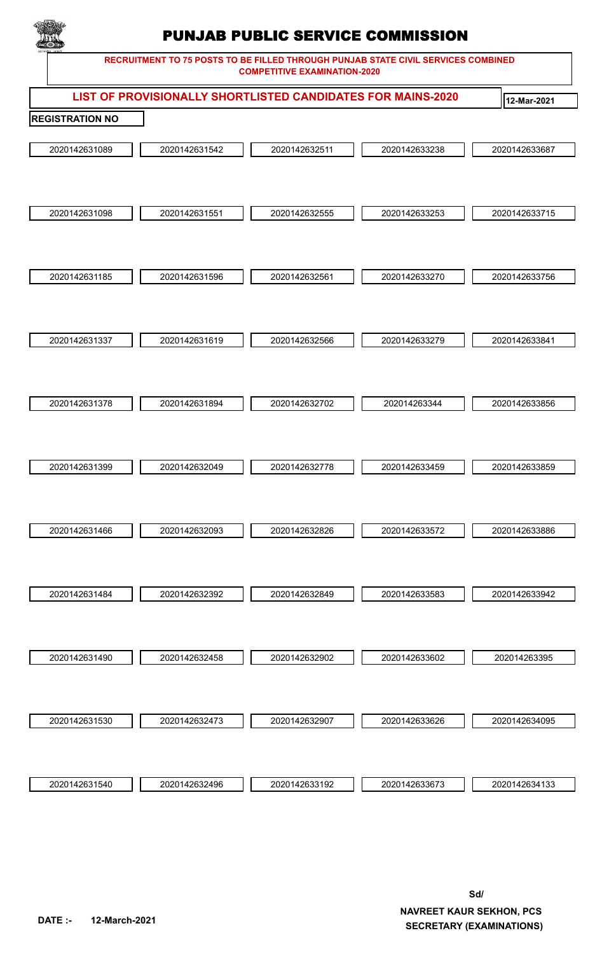

|                        |               | LIST OF PROVISIONALLY SHORTLISTED CANDIDATES FOR MAINS-2020 |               | 12-Mar-2021   |
|------------------------|---------------|-------------------------------------------------------------|---------------|---------------|
| <b>REGISTRATION NO</b> |               |                                                             |               |               |
| 2020142631089          | 2020142631542 | 2020142632511                                               | 2020142633238 | 2020142633687 |
|                        |               |                                                             |               |               |
|                        |               |                                                             |               |               |
| 2020142631098          | 2020142631551 | 2020142632555                                               | 2020142633253 | 2020142633715 |
|                        |               |                                                             |               |               |
|                        |               |                                                             |               |               |
| 2020142631185          | 2020142631596 | 2020142632561                                               | 2020142633270 | 2020142633756 |
|                        |               |                                                             |               |               |
|                        |               |                                                             |               |               |
| 2020142631337          | 2020142631619 | 2020142632566                                               | 2020142633279 | 2020142633841 |
|                        |               |                                                             |               |               |
|                        |               |                                                             |               |               |
| 2020142631378          | 2020142631894 | 2020142632702                                               | 202014263344  | 2020142633856 |
|                        |               |                                                             |               |               |
|                        |               |                                                             |               |               |
| 2020142631399          | 2020142632049 | 2020142632778                                               | 2020142633459 | 2020142633859 |
|                        |               |                                                             |               |               |
|                        |               |                                                             |               |               |
| 2020142631466          | 2020142632093 | 2020142632826                                               | 2020142633572 | 2020142633886 |
|                        |               |                                                             |               |               |
|                        |               |                                                             |               |               |
| 2020142631484          | 2020142632392 | 2020142632849                                               | 2020142633583 | 2020142633942 |
|                        |               |                                                             |               |               |
|                        |               |                                                             |               |               |
| 2020142631490          | 2020142632458 | 2020142632902                                               | 2020142633602 | 202014263395  |
|                        |               |                                                             |               |               |
|                        |               |                                                             |               |               |
| 2020142631530          | 2020142632473 | 2020142632907                                               | 2020142633626 | 2020142634095 |
|                        |               |                                                             |               |               |
|                        |               |                                                             |               |               |
| 2020142631540          | 2020142632496 | 2020142633192                                               | 2020142633673 | 2020142634133 |
|                        |               |                                                             |               |               |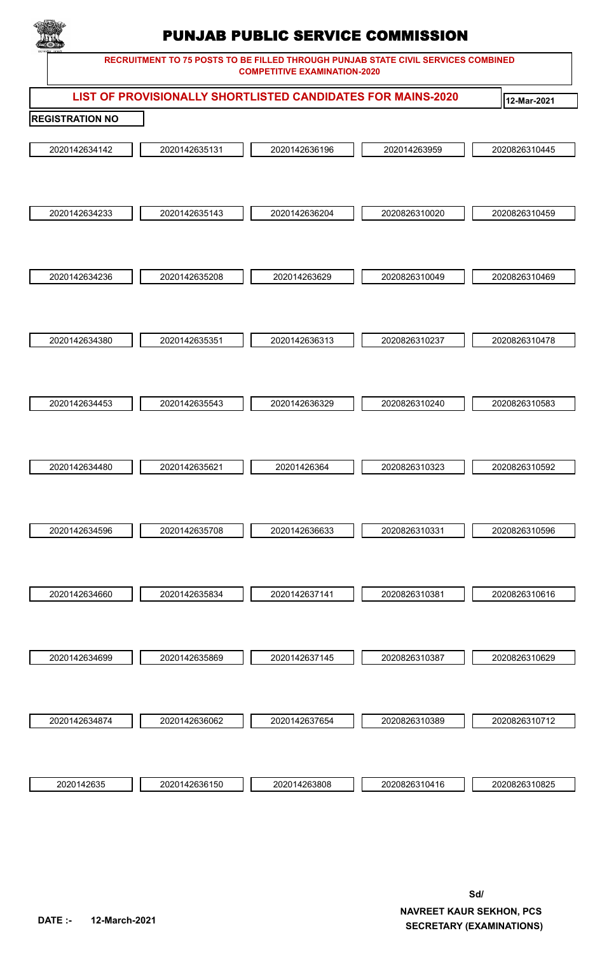

|                        | LIST OF PROVISIONALLY SHORTLISTED CANDIDATES FOR MAINS-2020 |               |               | 12-Mar-2021   |
|------------------------|-------------------------------------------------------------|---------------|---------------|---------------|
| <b>REGISTRATION NO</b> |                                                             |               |               |               |
| 2020142634142          | 2020142635131                                               | 2020142636196 | 202014263959  | 2020826310445 |
| 2020142634233          | 2020142635143                                               | 2020142636204 | 2020826310020 | 2020826310459 |
| 2020142634236          | 2020142635208                                               | 202014263629  | 2020826310049 | 2020826310469 |
| 2020142634380          | 2020142635351                                               | 2020142636313 | 2020826310237 | 2020826310478 |
| 2020142634453          | 2020142635543                                               | 2020142636329 | 2020826310240 | 2020826310583 |
| 2020142634480          | 2020142635621                                               | 20201426364   | 2020826310323 | 2020826310592 |
| 2020142634596          | 2020142635708                                               | 2020142636633 | 2020826310331 | 2020826310596 |
| 2020142634660          | 2020142635834                                               | 2020142637141 | 2020826310381 | 2020826310616 |
| 2020142634699          | 2020142635869                                               | 2020142637145 | 2020826310387 | 2020826310629 |
| 2020142634874          | 2020142636062                                               | 2020142637654 | 2020826310389 | 2020826310712 |
| 2020142635             | 2020142636150                                               | 202014263808  | 2020826310416 | 2020826310825 |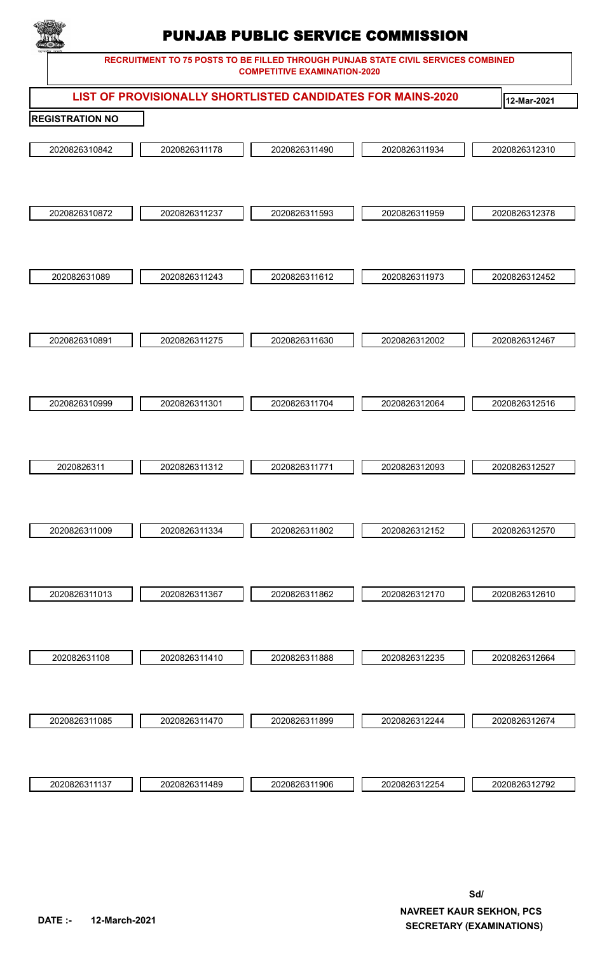

|                        |               | LIST OF PROVISIONALLY SHORTLISTED CANDIDATES FOR MAINS-2020 |               | 12-Mar-2021   |
|------------------------|---------------|-------------------------------------------------------------|---------------|---------------|
| <b>REGISTRATION NO</b> |               |                                                             |               |               |
| 2020826310842          | 2020826311178 | 2020826311490                                               | 2020826311934 | 2020826312310 |
| 2020826310872          | 2020826311237 | 2020826311593                                               | 2020826311959 | 2020826312378 |
| 202082631089           | 2020826311243 | 2020826311612                                               | 2020826311973 | 2020826312452 |
| 2020826310891          | 2020826311275 | 2020826311630                                               | 2020826312002 | 2020826312467 |
| 2020826310999          | 2020826311301 | 2020826311704                                               | 2020826312064 | 2020826312516 |
| 2020826311             | 2020826311312 | 2020826311771                                               | 2020826312093 | 2020826312527 |
| 2020826311009          | 2020826311334 | 2020826311802                                               | 2020826312152 | 2020826312570 |
| 2020826311013          | 2020826311367 | 2020826311862                                               | 2020826312170 | 2020826312610 |
| 202082631108           | 2020826311410 | 2020826311888                                               | 2020826312235 | 2020826312664 |
| 2020826311085          | 2020826311470 | 2020826311899                                               | 2020826312244 | 2020826312674 |
| 2020826311137          | 2020826311489 | 2020826311906                                               | 2020826312254 | 2020826312792 |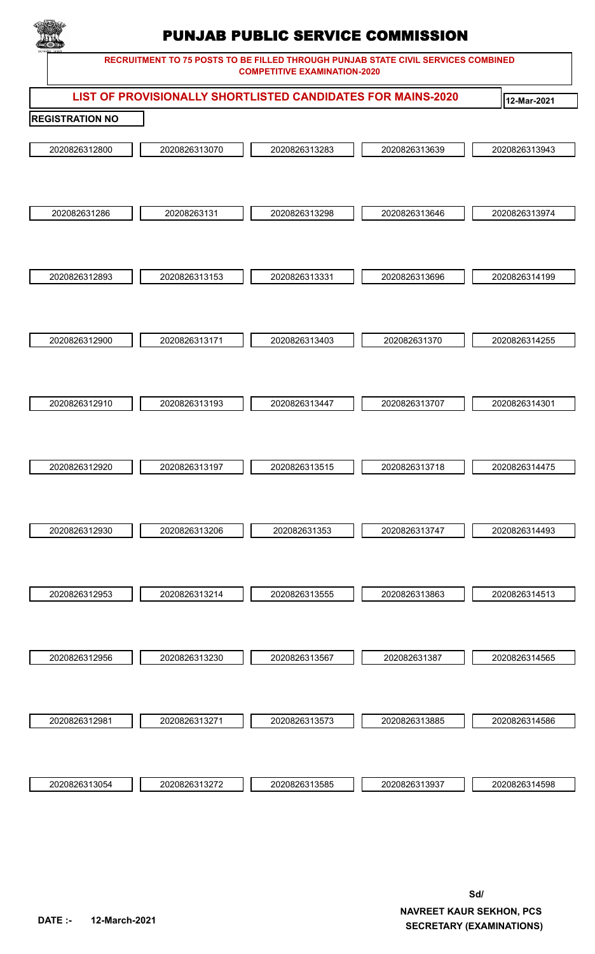

|                        |               |               | LIST OF PROVISIONALLY SHORTLISTED CANDIDATES FOR MAINS-2020 | 12-Mar-2021   |
|------------------------|---------------|---------------|-------------------------------------------------------------|---------------|
| <b>REGISTRATION NO</b> |               |               |                                                             |               |
| 2020826312800          | 2020826313070 | 2020826313283 | 2020826313639                                               | 2020826313943 |
| 202082631286           | 20208263131   | 2020826313298 | 2020826313646                                               | 2020826313974 |
| 2020826312893          | 2020826313153 | 2020826313331 | 2020826313696                                               | 2020826314199 |
| 2020826312900          | 2020826313171 | 2020826313403 | 202082631370                                                | 2020826314255 |
|                        |               |               |                                                             |               |
| 2020826312910          | 2020826313193 | 2020826313447 | 2020826313707                                               | 2020826314301 |
| 2020826312920          | 2020826313197 | 2020826313515 | 2020826313718                                               | 2020826314475 |
| 2020826312930          | 2020826313206 | 202082631353  | 2020826313747                                               | 2020826314493 |
| 2020826312953          | 2020826313214 | 2020826313555 | 2020826313863                                               | 2020826314513 |
| 2020826312956          | 2020826313230 | 2020826313567 | 202082631387                                                | 2020826314565 |
| 2020826312981          | 2020826313271 | 2020826313573 | 2020826313885                                               | 2020826314586 |
| 2020826313054          | 2020826313272 | 2020826313585 | 2020826313937                                               | 2020826314598 |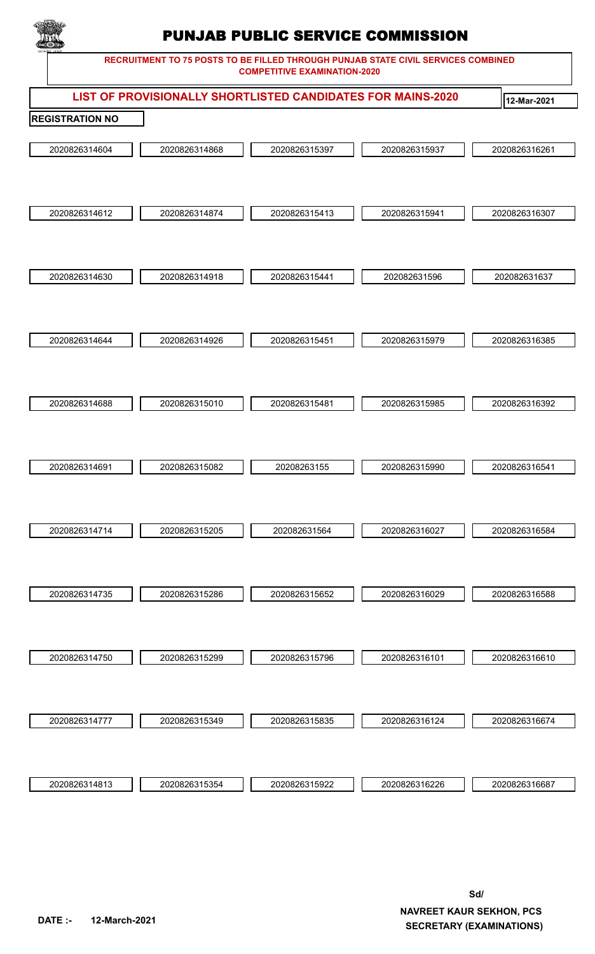

|                        |               | $\sim$        |                                                             |               |
|------------------------|---------------|---------------|-------------------------------------------------------------|---------------|
|                        |               |               | LIST OF PROVISIONALLY SHORTLISTED CANDIDATES FOR MAINS-2020 | 12-Mar-2021   |
| <b>REGISTRATION NO</b> |               |               |                                                             |               |
|                        |               |               |                                                             |               |
| 2020826314604          | 2020826314868 | 2020826315397 | 2020826315937                                               | 2020826316261 |
|                        |               |               |                                                             |               |
|                        |               |               |                                                             |               |
| 2020826314612          | 2020826314874 | 2020826315413 | 2020826315941                                               | 2020826316307 |
|                        |               |               |                                                             |               |
|                        |               |               |                                                             |               |
|                        |               |               |                                                             |               |
| 2020826314630          | 2020826314918 | 2020826315441 | 202082631596                                                | 202082631637  |
|                        |               |               |                                                             |               |
|                        |               |               |                                                             |               |
| 2020826314644          | 2020826314926 | 2020826315451 | 2020826315979                                               | 2020826316385 |
|                        |               |               |                                                             |               |
|                        |               |               |                                                             |               |
|                        |               |               |                                                             |               |
| 2020826314688          | 2020826315010 | 2020826315481 | 2020826315985                                               | 2020826316392 |
|                        |               |               |                                                             |               |
|                        |               |               |                                                             |               |
| 2020826314691          | 2020826315082 | 20208263155   | 2020826315990                                               | 2020826316541 |
|                        |               |               |                                                             |               |
|                        |               |               |                                                             |               |
|                        |               |               |                                                             |               |
| 2020826314714          | 2020826315205 | 202082631564  | 2020826316027                                               | 2020826316584 |
|                        |               |               |                                                             |               |
|                        |               |               |                                                             |               |
| 2020826314735          | 2020826315286 | 2020826315652 | 2020826316029                                               | 2020826316588 |
|                        |               |               |                                                             |               |
|                        |               |               |                                                             |               |
| 2020826314750          | 2020826315299 | 2020826315796 | 2020826316101                                               | 2020826316610 |
|                        |               |               |                                                             |               |
|                        |               |               |                                                             |               |
|                        |               |               |                                                             |               |
| 2020826314777          | 2020826315349 | 2020826315835 | 2020826316124                                               | 2020826316674 |
|                        |               |               |                                                             |               |
|                        |               |               |                                                             |               |
| 2020826314813          | 2020826315354 | 2020826315922 | 2020826316226                                               | 2020826316687 |
|                        |               |               |                                                             |               |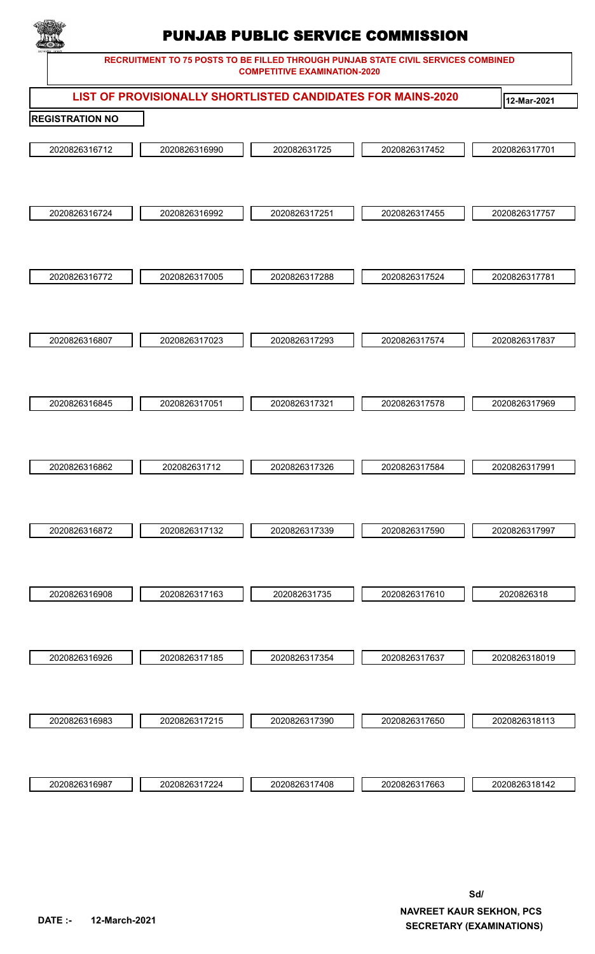

|                        | LIST OF PROVISIONALLY SHORTLISTED CANDIDATES FOR MAINS-2020 |               |               | 12-Mar-2021   |
|------------------------|-------------------------------------------------------------|---------------|---------------|---------------|
| <b>REGISTRATION NO</b> |                                                             |               |               |               |
| 2020826316712          | 2020826316990                                               | 202082631725  | 2020826317452 | 2020826317701 |
| 2020826316724          | 2020826316992                                               | 2020826317251 | 2020826317455 | 2020826317757 |
| 2020826316772          | 2020826317005                                               | 2020826317288 | 2020826317524 | 2020826317781 |
| 2020826316807          | 2020826317023                                               | 2020826317293 | 2020826317574 | 2020826317837 |
| 2020826316845          | 2020826317051                                               | 2020826317321 | 2020826317578 | 2020826317969 |
| 2020826316862          | 202082631712                                                | 2020826317326 | 2020826317584 | 2020826317991 |
| 2020826316872          | 2020826317132                                               | 2020826317339 | 2020826317590 | 2020826317997 |
| 2020826316908          | 2020826317163                                               | 202082631735  | 2020826317610 | 2020826318    |
| 2020826316926          | 2020826317185                                               | 2020826317354 | 2020826317637 | 2020826318019 |
| 2020826316983          | 2020826317215                                               | 2020826317390 | 2020826317650 | 2020826318113 |
| 2020826316987          | 2020826317224                                               | 2020826317408 | 2020826317663 | 2020826318142 |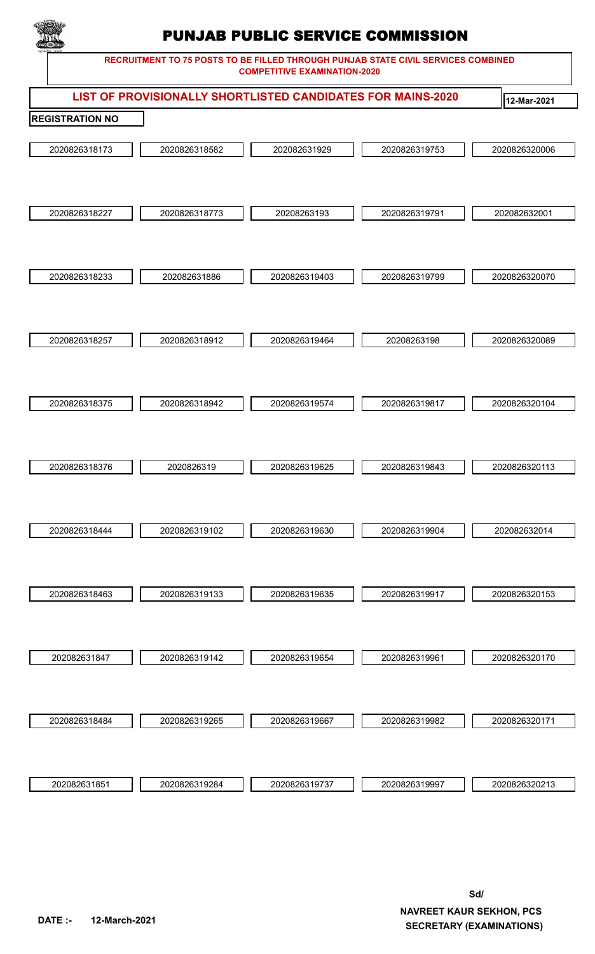

|                        |               | $\sim$        |                                                             |               |
|------------------------|---------------|---------------|-------------------------------------------------------------|---------------|
|                        |               |               | LIST OF PROVISIONALLY SHORTLISTED CANDIDATES FOR MAINS-2020 | 12-Mar-2021   |
| <b>REGISTRATION NO</b> |               |               |                                                             |               |
| 2020826318173          | 2020826318582 | 202082631929  | 2020826319753                                               | 2020826320006 |
| 2020826318227          | 2020826318773 | 20208263193   | 2020826319791                                               | 202082632001  |
| 2020826318233          | 202082631886  | 2020826319403 | 2020826319799                                               | 2020826320070 |
| 2020826318257          | 2020826318912 | 2020826319464 | 20208263198                                                 | 2020826320089 |
| 2020826318375          | 2020826318942 | 2020826319574 | 2020826319817                                               | 2020826320104 |
| 2020826318376          | 2020826319    | 2020826319625 | 2020826319843                                               | 2020826320113 |
| 2020826318444          | 2020826319102 | 2020826319630 | 2020826319904                                               | 202082632014  |
| 2020826318463          | 2020826319133 | 2020826319635 | 2020826319917                                               | 2020826320153 |
| 202082631847           | 2020826319142 | 2020826319654 | 2020826319961                                               | 2020826320170 |
| 2020826318484          | 2020826319265 | 2020826319667 | 2020826319982                                               | 2020826320171 |
| 202082631851           | 2020826319284 | 2020826319737 | 2020826319997                                               | 2020826320213 |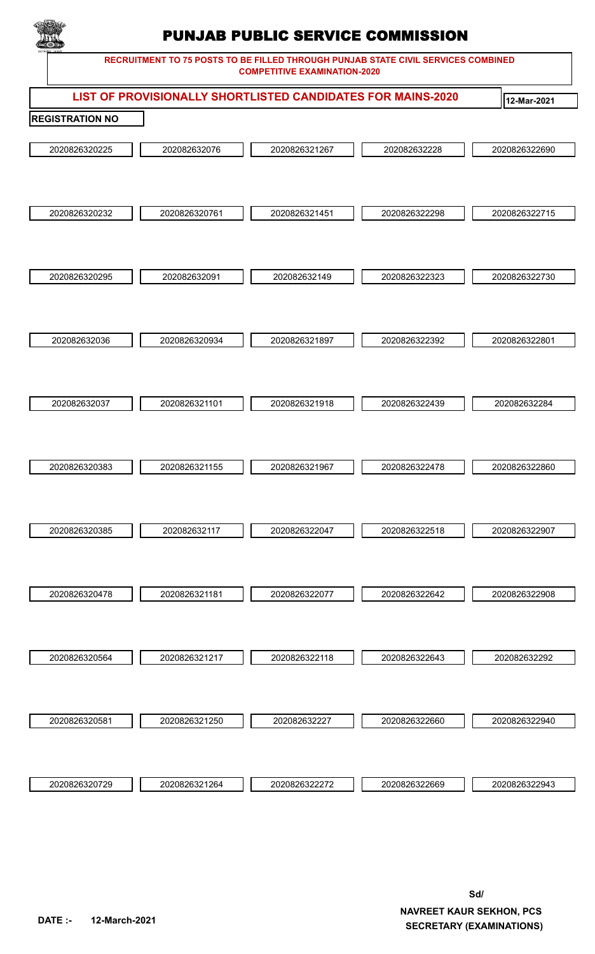

|                        |               | LIST OF PROVISIONALLY SHORTLISTED CANDIDATES FOR MAINS-2020 |               | 12-Mar-2021   |
|------------------------|---------------|-------------------------------------------------------------|---------------|---------------|
| <b>REGISTRATION NO</b> |               |                                                             |               |               |
|                        |               |                                                             |               |               |
| 2020826320225          | 202082632076  | 2020826321267                                               | 202082632228  | 2020826322690 |
|                        |               |                                                             |               |               |
|                        |               |                                                             |               |               |
| 2020826320232          | 2020826320761 | 2020826321451                                               | 2020826322298 | 2020826322715 |
|                        |               |                                                             |               |               |
|                        |               |                                                             |               |               |
|                        |               |                                                             |               |               |
| 2020826320295          | 202082632091  | 202082632149                                                | 2020826322323 | 2020826322730 |
|                        |               |                                                             |               |               |
|                        |               |                                                             |               |               |
| 202082632036           | 2020826320934 | 2020826321897                                               | 2020826322392 | 2020826322801 |
|                        |               |                                                             |               |               |
|                        |               |                                                             |               |               |
|                        |               |                                                             |               |               |
| 202082632037           | 2020826321101 | 2020826321918                                               | 2020826322439 | 202082632284  |
|                        |               |                                                             |               |               |
|                        |               |                                                             |               |               |
| 2020826320383          | 2020826321155 | 2020826321967                                               | 2020826322478 | 2020826322860 |
|                        |               |                                                             |               |               |
|                        |               |                                                             |               |               |
|                        |               |                                                             |               |               |
| 2020826320385          | 202082632117  | 2020826322047                                               | 2020826322518 | 2020826322907 |
|                        |               |                                                             |               |               |
|                        |               |                                                             |               |               |
| 2020826320478          | 2020826321181 | 2020826322077                                               | 2020826322642 | 2020826322908 |
|                        |               |                                                             |               |               |
|                        |               |                                                             |               |               |
| 2020826320564          | 2020826321217 | 2020826322118                                               | 2020826322643 | 202082632292  |
|                        |               |                                                             |               |               |
|                        |               |                                                             |               |               |
|                        |               |                                                             |               |               |
| 2020826320581          | 2020826321250 | 202082632227                                                | 2020826322660 | 2020826322940 |
|                        |               |                                                             |               |               |
|                        |               |                                                             |               |               |
| 2020826320729          | 2020826321264 | 2020826322272                                               | 2020826322669 | 2020826322943 |
|                        |               |                                                             |               |               |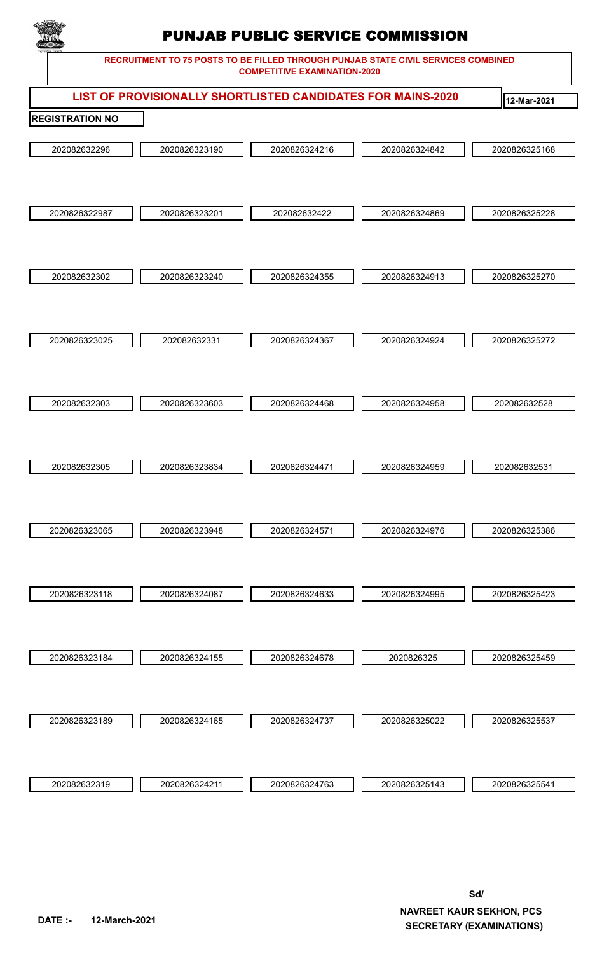

|                        |               | LIST OF PROVISIONALLY SHORTLISTED CANDIDATES FOR MAINS-2020 |               | 12-Mar-2021   |
|------------------------|---------------|-------------------------------------------------------------|---------------|---------------|
| <b>REGISTRATION NO</b> |               |                                                             |               |               |
|                        |               |                                                             |               |               |
| 202082632296           | 2020826323190 | 2020826324216                                               | 2020826324842 | 2020826325168 |
|                        |               |                                                             |               |               |
|                        |               |                                                             |               |               |
| 2020826322987          | 2020826323201 | 202082632422                                                | 2020826324869 | 2020826325228 |
|                        |               |                                                             |               |               |
|                        |               |                                                             |               |               |
|                        |               |                                                             |               |               |
| 202082632302           | 2020826323240 | 2020826324355                                               | 2020826324913 | 2020826325270 |
|                        |               |                                                             |               |               |
|                        |               |                                                             |               |               |
| 2020826323025          | 202082632331  | 2020826324367                                               | 2020826324924 | 2020826325272 |
|                        |               |                                                             |               |               |
|                        |               |                                                             |               |               |
|                        |               |                                                             |               |               |
| 202082632303           | 2020826323603 | 2020826324468                                               | 2020826324958 | 202082632528  |
|                        |               |                                                             |               |               |
|                        |               |                                                             |               |               |
| 202082632305           | 2020826323834 | 2020826324471                                               | 2020826324959 | 202082632531  |
|                        |               |                                                             |               |               |
|                        |               |                                                             |               |               |
|                        |               |                                                             |               |               |
| 2020826323065          | 2020826323948 | 2020826324571                                               | 2020826324976 | 2020826325386 |
|                        |               |                                                             |               |               |
|                        |               |                                                             |               |               |
| 2020826323118          | 2020826324087 | 2020826324633                                               | 2020826324995 | 2020826325423 |
|                        |               |                                                             |               |               |
|                        |               |                                                             |               |               |
| 2020826323184          | 2020826324155 | 2020826324678                                               | 2020826325    | 2020826325459 |
|                        |               |                                                             |               |               |
|                        |               |                                                             |               |               |
|                        |               |                                                             |               |               |
| 2020826323189          | 2020826324165 | 2020826324737                                               | 2020826325022 | 2020826325537 |
|                        |               |                                                             |               |               |
|                        |               |                                                             |               |               |
| 202082632319           | 2020826324211 | 2020826324763                                               | 2020826325143 | 2020826325541 |
|                        |               |                                                             |               |               |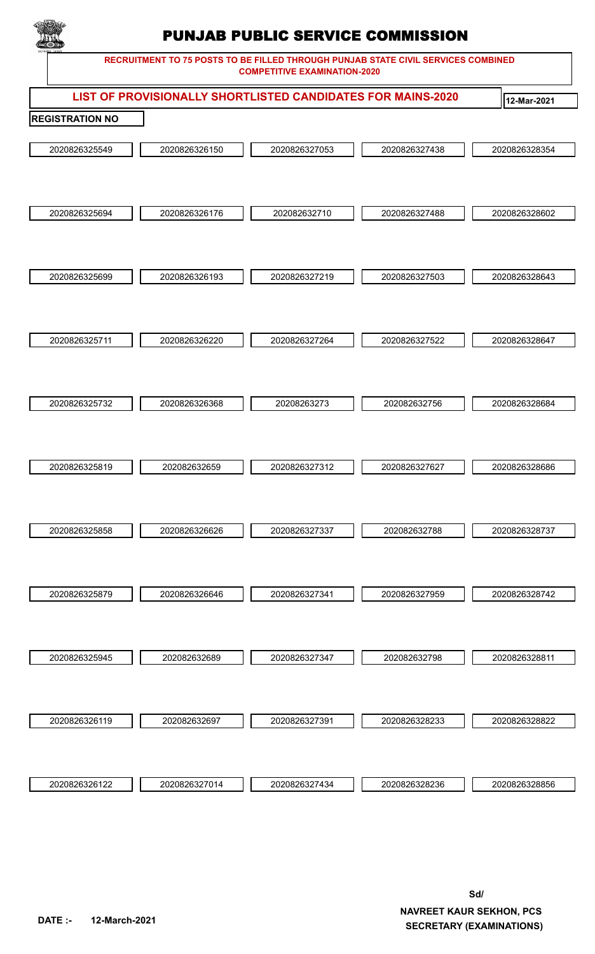

|                        |               |               |               | LIST OF PROVISIONALLY SHORTLISTED CANDIDATES FOR MAINS-2020 | 12-Mar-2021   |
|------------------------|---------------|---------------|---------------|-------------------------------------------------------------|---------------|
| <b>REGISTRATION NO</b> |               |               |               |                                                             |               |
|                        | 2020826325549 | 2020826326150 | 2020826327053 | 2020826327438                                               | 2020826328354 |
|                        | 2020826325694 | 2020826326176 | 202082632710  | 2020826327488                                               | 2020826328602 |
|                        | 2020826325699 | 2020826326193 | 2020826327219 | 2020826327503                                               | 2020826328643 |
|                        | 2020826325711 | 2020826326220 | 2020826327264 | 2020826327522                                               | 2020826328647 |
|                        | 2020826325732 | 2020826326368 | 20208263273   | 202082632756                                                | 2020826328684 |
|                        | 2020826325819 | 202082632659  | 2020826327312 | 2020826327627                                               | 2020826328686 |
|                        | 2020826325858 | 2020826326626 | 2020826327337 | 202082632788                                                | 2020826328737 |
|                        | 2020826325879 | 2020826326646 | 2020826327341 | 2020826327959                                               | 2020826328742 |
|                        | 2020826325945 | 202082632689  | 2020826327347 | 202082632798                                                | 2020826328811 |
|                        | 2020826326119 | 202082632697  | 2020826327391 | 2020826328233                                               | 2020826328822 |
|                        | 2020826326122 | 2020826327014 | 2020826327434 | 2020826328236                                               | 2020826328856 |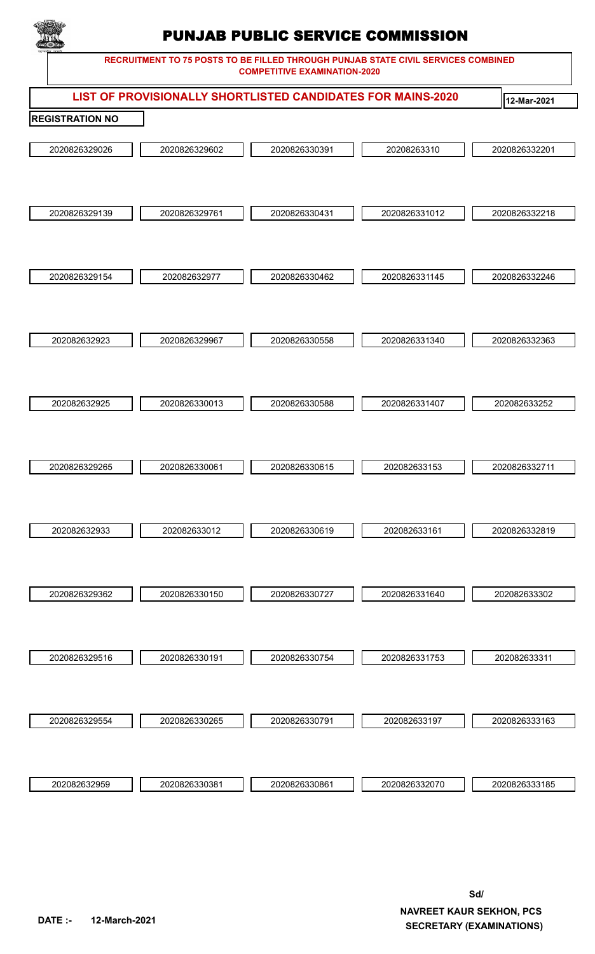

|                        |               | LIST OF PROVISIONALLY SHORTLISTED CANDIDATES FOR MAINS-2020 |               | 12-Mar-2021   |  |  |  |  |  |  |  |
|------------------------|---------------|-------------------------------------------------------------|---------------|---------------|--|--|--|--|--|--|--|
| <b>REGISTRATION NO</b> |               |                                                             |               |               |  |  |  |  |  |  |  |
| 2020826329026          | 2020826329602 | 2020826330391                                               | 20208263310   | 2020826332201 |  |  |  |  |  |  |  |
| 2020826329139          | 2020826329761 | 2020826330431                                               | 2020826331012 | 2020826332218 |  |  |  |  |  |  |  |
| 2020826329154          | 202082632977  | 2020826330462                                               | 2020826331145 | 2020826332246 |  |  |  |  |  |  |  |
| 202082632923           | 2020826329967 | 2020826330558                                               | 2020826331340 | 2020826332363 |  |  |  |  |  |  |  |
| 202082632925           | 2020826330013 | 2020826330588                                               | 2020826331407 | 202082633252  |  |  |  |  |  |  |  |
| 2020826329265          | 2020826330061 | 2020826330615                                               | 202082633153  | 2020826332711 |  |  |  |  |  |  |  |
| 202082632933           | 202082633012  | 2020826330619                                               | 202082633161  | 2020826332819 |  |  |  |  |  |  |  |
| 2020826329362          | 2020826330150 | 2020826330727                                               | 2020826331640 | 202082633302  |  |  |  |  |  |  |  |
| 2020826329516          | 2020826330191 | 2020826330754                                               | 2020826331753 | 202082633311  |  |  |  |  |  |  |  |
| 2020826329554          | 2020826330265 | 2020826330791                                               | 202082633197  | 2020826333163 |  |  |  |  |  |  |  |
| 202082632959           | 2020826330381 | 2020826330861                                               | 2020826332070 | 2020826333185 |  |  |  |  |  |  |  |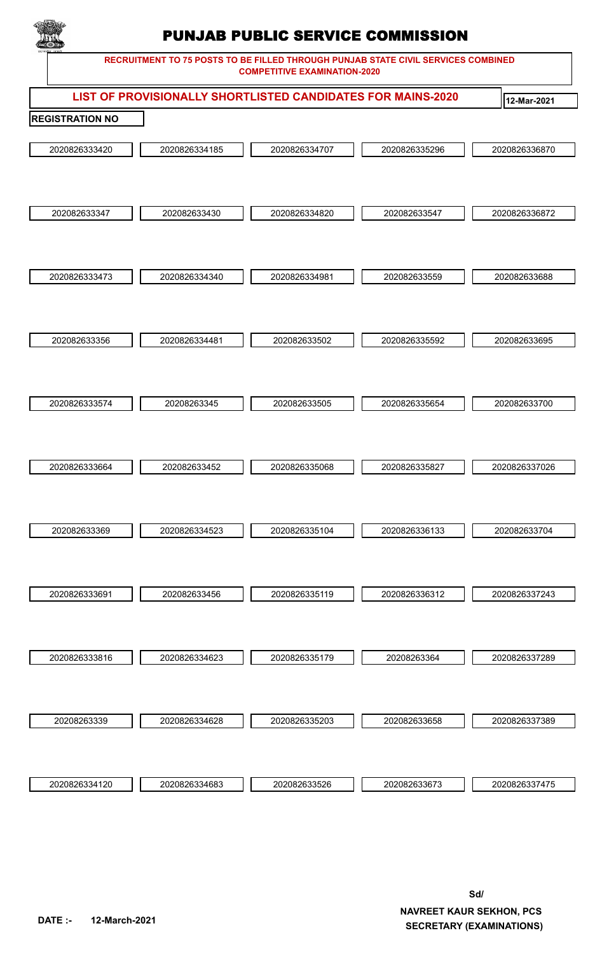

|                        |               | LIST OF PROVISIONALLY SHORTLISTED CANDIDATES FOR MAINS-2020 |               | 12-Mar-2021   |  |  |  |  |  |  |  |
|------------------------|---------------|-------------------------------------------------------------|---------------|---------------|--|--|--|--|--|--|--|
| <b>REGISTRATION NO</b> |               |                                                             |               |               |  |  |  |  |  |  |  |
| 2020826333420          | 2020826334185 | 2020826334707                                               | 2020826335296 | 2020826336870 |  |  |  |  |  |  |  |
| 202082633347           | 202082633430  | 2020826334820                                               | 202082633547  | 2020826336872 |  |  |  |  |  |  |  |
|                        |               |                                                             |               |               |  |  |  |  |  |  |  |
| 2020826333473          | 2020826334340 | 2020826334981                                               | 202082633559  | 202082633688  |  |  |  |  |  |  |  |
|                        |               |                                                             |               |               |  |  |  |  |  |  |  |
| 202082633356           | 2020826334481 | 202082633502                                                | 2020826335592 | 202082633695  |  |  |  |  |  |  |  |
|                        |               |                                                             |               |               |  |  |  |  |  |  |  |
| 2020826333574          | 20208263345   | 202082633505                                                | 2020826335654 | 202082633700  |  |  |  |  |  |  |  |
| 2020826333664          | 202082633452  | 2020826335068                                               | 2020826335827 | 2020826337026 |  |  |  |  |  |  |  |
| 202082633369           | 2020826334523 | 2020826335104                                               | 2020826336133 | 202082633704  |  |  |  |  |  |  |  |
| 2020826333691          | 202082633456  | 2020826335119                                               | 2020826336312 | 2020826337243 |  |  |  |  |  |  |  |
| 2020826333816          | 2020826334623 | 2020826335179                                               | 20208263364   | 2020826337289 |  |  |  |  |  |  |  |
|                        |               |                                                             |               |               |  |  |  |  |  |  |  |
| 20208263339            | 2020826334628 | 2020826335203                                               | 202082633658  | 2020826337389 |  |  |  |  |  |  |  |
|                        |               |                                                             |               |               |  |  |  |  |  |  |  |
| 2020826334120          | 2020826334683 | 202082633526                                                | 202082633673  | 2020826337475 |  |  |  |  |  |  |  |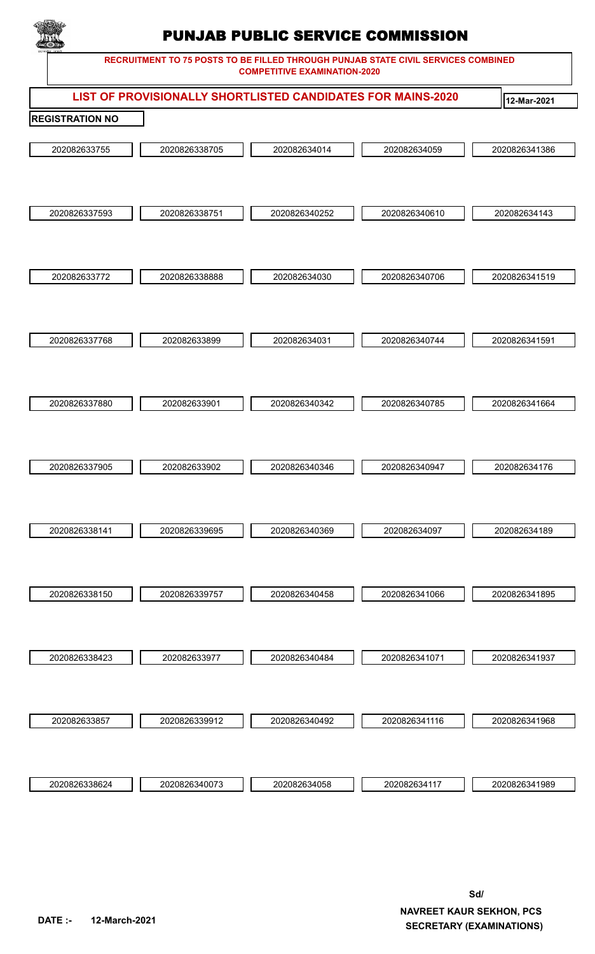

|                        | LIST OF PROVISIONALLY SHORTLISTED CANDIDATES FOR MAINS-2020 |               |               | 12-Mar-2021   |
|------------------------|-------------------------------------------------------------|---------------|---------------|---------------|
| <b>REGISTRATION NO</b> |                                                             |               |               |               |
| 202082633755           | 2020826338705                                               | 202082634014  | 202082634059  | 2020826341386 |
| 2020826337593          | 2020826338751                                               | 2020826340252 | 2020826340610 | 202082634143  |
| 202082633772           | 2020826338888                                               | 202082634030  | 2020826340706 | 2020826341519 |
| 2020826337768          | 202082633899                                                | 202082634031  | 2020826340744 | 2020826341591 |
| 2020826337880          | 202082633901                                                | 2020826340342 | 2020826340785 | 2020826341664 |
| 2020826337905          | 202082633902                                                | 2020826340346 | 2020826340947 | 202082634176  |
| 2020826338141          | 2020826339695                                               | 2020826340369 | 202082634097  | 202082634189  |
| 2020826338150          | 2020826339757                                               | 2020826340458 | 2020826341066 | 2020826341895 |
| 2020826338423          | 202082633977                                                | 2020826340484 | 2020826341071 | 2020826341937 |
| 202082633857           | 2020826339912                                               | 2020826340492 | 2020826341116 | 2020826341968 |
| 2020826338624          | 2020826340073                                               | 202082634058  | 202082634117  | 2020826341989 |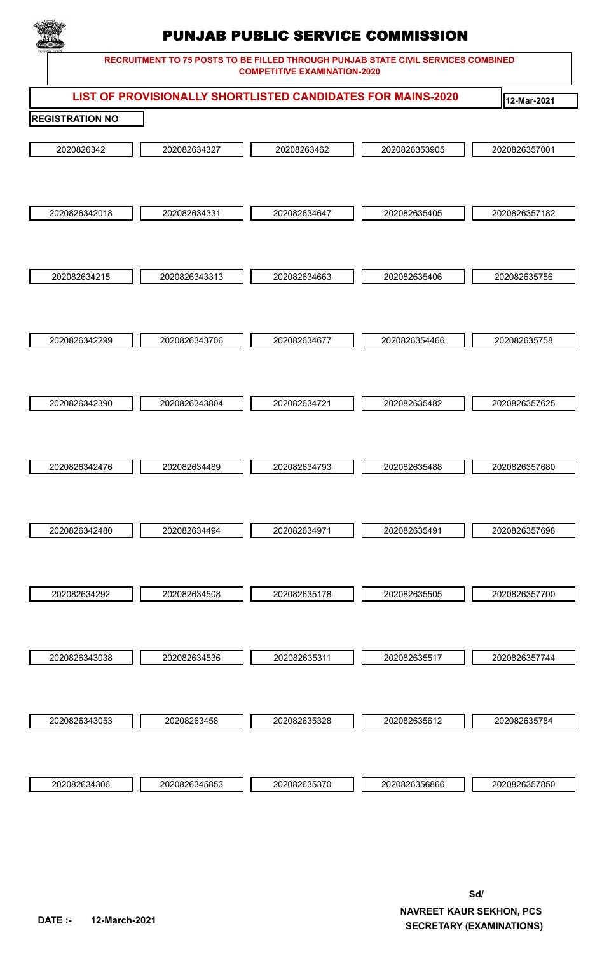

**RECRUITMENT TO 75 POSTS TO BE FILLED THROUGH PUNJAB STATE CIVIL SERVICES COMBINED COMPETITIVE EXAMINATION-2020**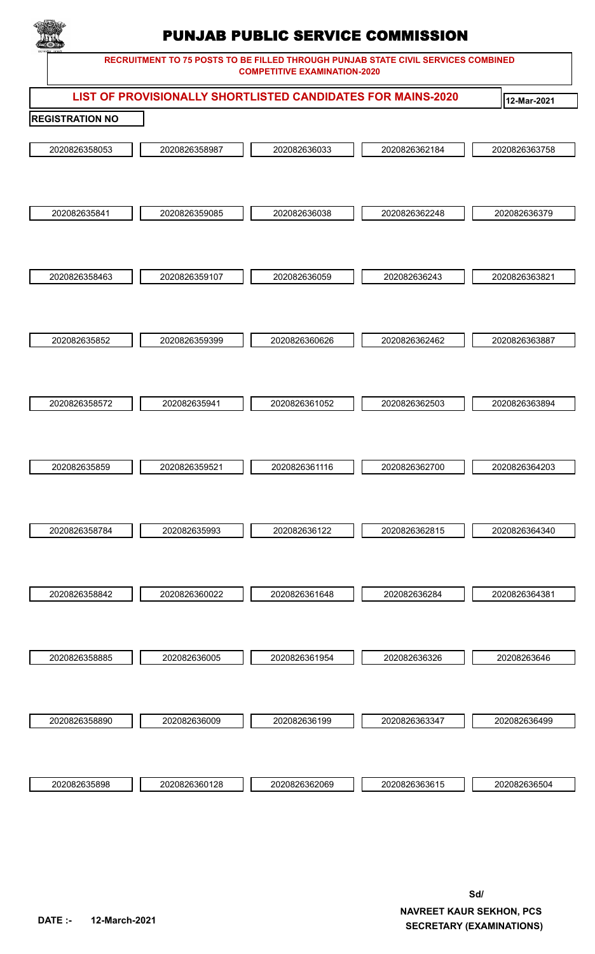

|                        |               | LIST OF PROVISIONALLY SHORTLISTED CANDIDATES FOR MAINS-2020 |               | 12-Mar-2021   |
|------------------------|---------------|-------------------------------------------------------------|---------------|---------------|
| <b>REGISTRATION NO</b> |               |                                                             |               |               |
| 2020826358053          | 2020826358987 | 202082636033                                                | 2020826362184 | 2020826363758 |
| 202082635841           | 2020826359085 | 202082636038                                                | 2020826362248 | 202082636379  |
| 2020826358463          | 2020826359107 | 202082636059                                                | 202082636243  | 2020826363821 |
|                        |               |                                                             |               |               |
| 202082635852           | 2020826359399 | 2020826360626                                               | 2020826362462 | 2020826363887 |
|                        |               |                                                             |               |               |
| 2020826358572          | 202082635941  | 2020826361052                                               | 2020826362503 | 2020826363894 |
|                        |               |                                                             |               |               |
| 202082635859           | 2020826359521 | 2020826361116                                               | 2020826362700 | 2020826364203 |
|                        |               |                                                             |               |               |
| 2020826358784          | 202082635993  | 202082636122                                                | 2020826362815 | 2020826364340 |
|                        |               |                                                             |               |               |
| 2020826358842          | 2020826360022 | 2020826361648                                               | 202082636284  | 2020826364381 |
|                        |               |                                                             |               |               |
| 2020826358885          | 202082636005  | 2020826361954                                               | 202082636326  | 20208263646   |
|                        |               |                                                             |               |               |
| 2020826358890          | 202082636009  | 202082636199                                                | 2020826363347 | 202082636499  |
|                        |               |                                                             |               |               |
| 202082635898           | 2020826360128 | 2020826362069                                               | 2020826363615 | 202082636504  |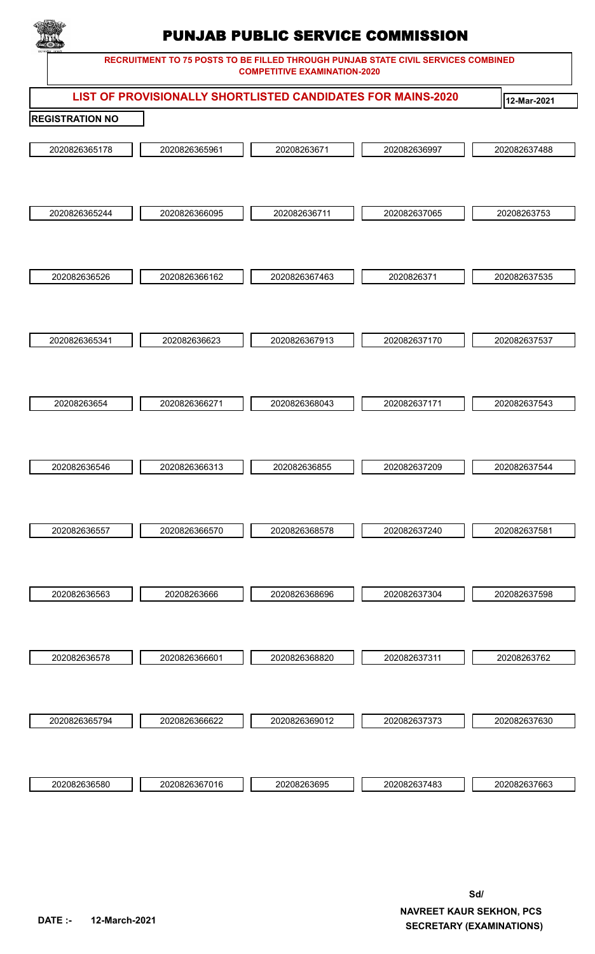

|                        |               | LIST OF PROVISIONALLY SHORTLISTED CANDIDATES FOR MAINS-2020 |              | 12-Mar-2021  |
|------------------------|---------------|-------------------------------------------------------------|--------------|--------------|
| <b>REGISTRATION NO</b> |               |                                                             |              |              |
| 2020826365178          | 2020826365961 | 20208263671                                                 | 202082636997 | 202082637488 |
|                        |               |                                                             |              |              |
| 2020826365244          | 2020826366095 | 202082636711                                                | 202082637065 | 20208263753  |
|                        |               |                                                             |              |              |
| 202082636526           | 2020826366162 | 2020826367463                                               | 2020826371   | 202082637535 |
|                        |               |                                                             |              |              |
| 2020826365341          | 202082636623  | 2020826367913                                               | 202082637170 | 202082637537 |
|                        |               |                                                             |              |              |
| 20208263654            | 2020826366271 | 2020826368043                                               | 202082637171 | 202082637543 |
|                        |               |                                                             |              |              |
| 202082636546           | 2020826366313 | 202082636855                                                | 202082637209 | 202082637544 |
|                        |               |                                                             |              |              |
| 202082636557           | 2020826366570 | 2020826368578                                               | 202082637240 | 202082637581 |
|                        |               |                                                             |              |              |
| 202082636563           | 20208263666   | 2020826368696                                               | 202082637304 | 202082637598 |
|                        |               |                                                             |              |              |
| 202082636578           | 2020826366601 | 2020826368820                                               | 202082637311 | 20208263762  |
|                        |               |                                                             |              |              |
| 2020826365794          | 2020826366622 | 2020826369012                                               | 202082637373 | 202082637630 |
|                        |               |                                                             |              |              |
| 202082636580           | 2020826367016 | 20208263695                                                 | 202082637483 | 202082637663 |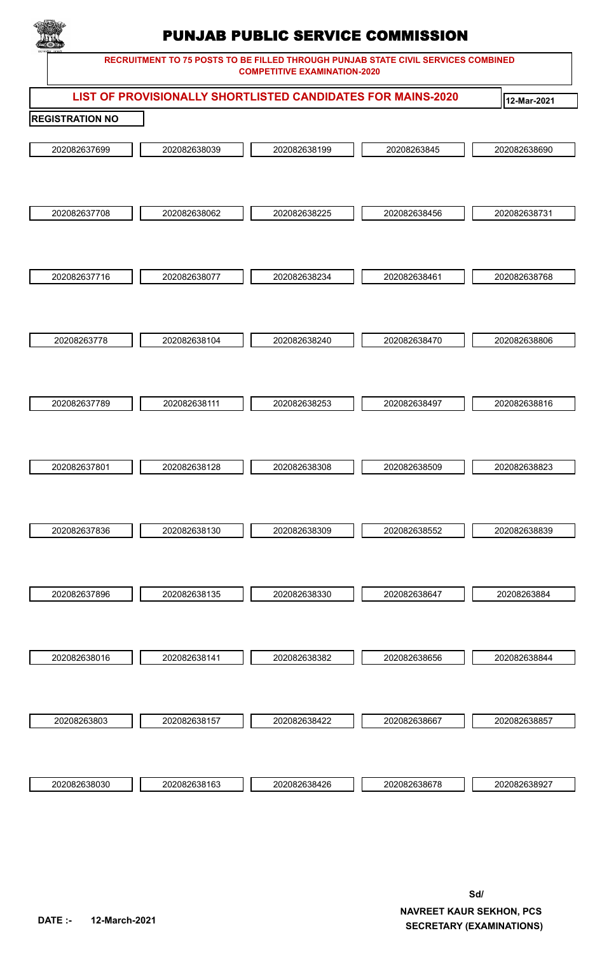

**RECRUITMENT TO 75 POSTS TO BE FILLED THROUGH PUNJAB STATE CIVIL SERVICES COMBINED COMPETITIVE EXAMINATION-2020**